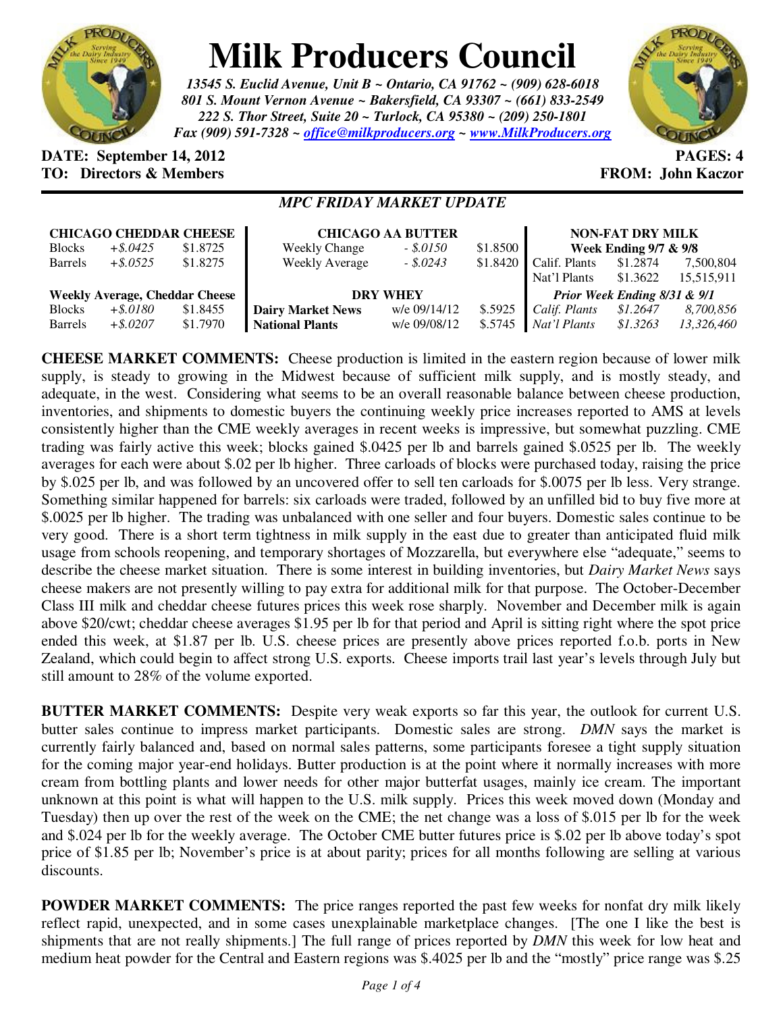

## **Milk Producers Council**

*13545 S. Euclid Avenue, Unit B ~ Ontario, CA 91762 ~ (909) 628-6018 801 S. Mount Vernon Avenue ~ Bakersfield, CA 93307 ~ (661) 833-2549 222 S. Thor Street, Suite 20 ~ Turlock, CA 95380 ~ (209) 250-1801 Fax (909) 591-7328 ~ office@milkproducers.org ~ www.MilkProducers.org*



## **DATE:** September 14, 2012 **PAGES:** 4 **TO: Directors & Members EXALLECTION: Solution FROM: John Kaczor**

## *MPC FRIDAY MARKET UPDATE*

| <b>CHICAGO CHEDDAR CHEESE</b>         |             |          | <b>CHICAGO AA BUTTER</b> |              |          | <b>NON-FAT DRY MILK</b>          |          |            |
|---------------------------------------|-------------|----------|--------------------------|--------------|----------|----------------------------------|----------|------------|
| <b>Blocks</b>                         | $+$ \$.0425 | \$1.8725 | <b>Weekly Change</b>     | $-.50150$    | \$1.8500 | <b>Week Ending 9/7 &amp; 9/8</b> |          |            |
| Barrels                               | $+$ \$.0525 | \$1.8275 | <b>Weekly Average</b>    | $-.5.0243$   | \$1.8420 | Calif. Plants                    | \$1.2874 | 7,500,804  |
|                                       |             |          |                          |              |          | Nat'l Plants                     | \$1.3622 | 15,515,911 |
| <b>Weekly Average, Cheddar Cheese</b> |             |          | <b>DRY WHEY</b>          |              |          | Prior Week Ending 8/31 & 9/1     |          |            |
| <b>Blocks</b>                         | $+$ \$.0180 | \$1.8455 | <b>Dairy Market News</b> | w/e 09/14/12 | \$.5925  | Calif. Plants                    | \$1.2647 | 8,700,856  |
| <b>Barrels</b>                        | $+$ \$.0207 | \$1.7970 | <b>National Plants</b>   | w/e 09/08/12 | \$.5745  | Nat'l Plants                     | \$1.3263 | 13.326.460 |

**CHEESE MARKET COMMENTS:** Cheese production is limited in the eastern region because of lower milk supply, is steady to growing in the Midwest because of sufficient milk supply, and is mostly steady, and adequate, in the west. Considering what seems to be an overall reasonable balance between cheese production, inventories, and shipments to domestic buyers the continuing weekly price increases reported to AMS at levels consistently higher than the CME weekly averages in recent weeks is impressive, but somewhat puzzling. CME trading was fairly active this week; blocks gained \$.0425 per lb and barrels gained \$.0525 per lb. The weekly averages for each were about \$.02 per lb higher. Three carloads of blocks were purchased today, raising the price by \$.025 per lb, and was followed by an uncovered offer to sell ten carloads for \$.0075 per lb less. Very strange. Something similar happened for barrels: six carloads were traded, followed by an unfilled bid to buy five more at \$.0025 per lb higher. The trading was unbalanced with one seller and four buyers. Domestic sales continue to be very good. There is a short term tightness in milk supply in the east due to greater than anticipated fluid milk usage from schools reopening, and temporary shortages of Mozzarella, but everywhere else "adequate," seems to describe the cheese market situation. There is some interest in building inventories, but *Dairy Market News* says cheese makers are not presently willing to pay extra for additional milk for that purpose. The October-December Class III milk and cheddar cheese futures prices this week rose sharply. November and December milk is again above \$20/cwt; cheddar cheese averages \$1.95 per lb for that period and April is sitting right where the spot price ended this week, at \$1.87 per lb. U.S. cheese prices are presently above prices reported f.o.b. ports in New Zealand, which could begin to affect strong U.S. exports. Cheese imports trail last year's levels through July but still amount to 28% of the volume exported.

**BUTTER MARKET COMMENTS:** Despite very weak exports so far this year, the outlook for current U.S. butter sales continue to impress market participants. Domestic sales are strong. *DMN* says the market is currently fairly balanced and, based on normal sales patterns, some participants foresee a tight supply situation for the coming major year-end holidays. Butter production is at the point where it normally increases with more cream from bottling plants and lower needs for other major butterfat usages, mainly ice cream. The important unknown at this point is what will happen to the U.S. milk supply. Prices this week moved down (Monday and Tuesday) then up over the rest of the week on the CME; the net change was a loss of \$.015 per lb for the week and \$.024 per lb for the weekly average. The October CME butter futures price is \$.02 per lb above today's spot price of \$1.85 per lb; November's price is at about parity; prices for all months following are selling at various discounts.

**POWDER MARKET COMMENTS:** The price ranges reported the past few weeks for nonfat dry milk likely reflect rapid, unexpected, and in some cases unexplainable marketplace changes. [The one I like the best is shipments that are not really shipments.] The full range of prices reported by *DMN* this week for low heat and medium heat powder for the Central and Eastern regions was \$.4025 per lb and the "mostly" price range was \$.25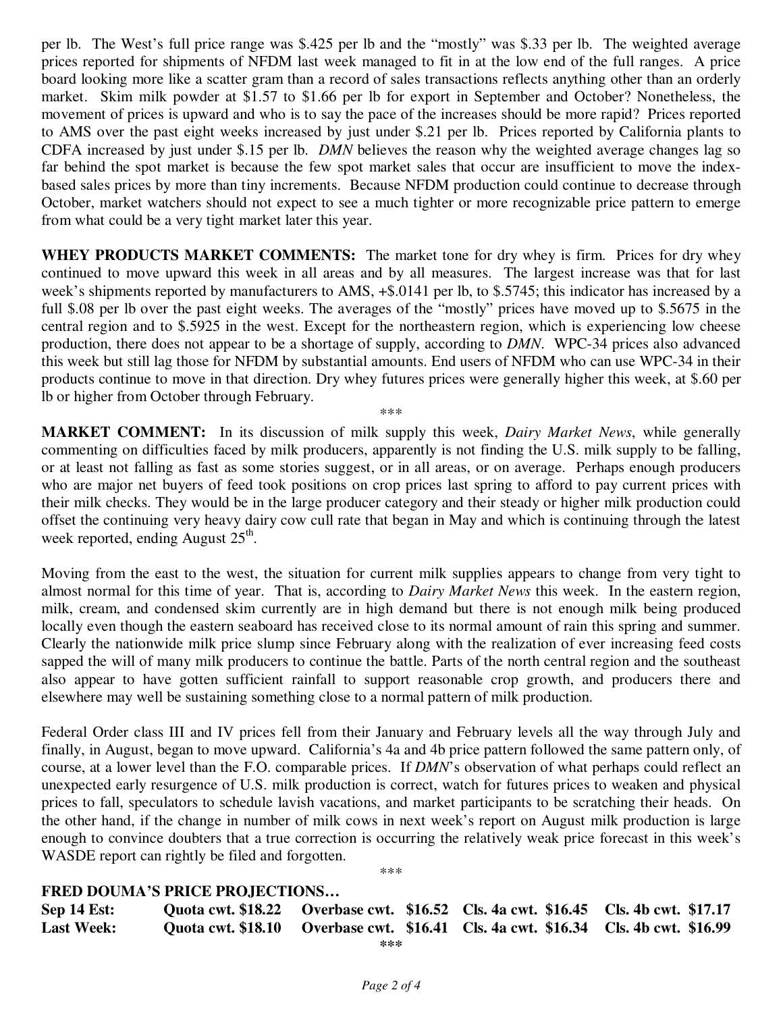per lb. The West's full price range was \$.425 per lb and the "mostly" was \$.33 per lb. The weighted average prices reported for shipments of NFDM last week managed to fit in at the low end of the full ranges. A price board looking more like a scatter gram than a record of sales transactions reflects anything other than an orderly market. Skim milk powder at \$1.57 to \$1.66 per lb for export in September and October? Nonetheless, the movement of prices is upward and who is to say the pace of the increases should be more rapid? Prices reported to AMS over the past eight weeks increased by just under \$.21 per lb. Prices reported by California plants to CDFA increased by just under \$.15 per lb. *DMN* believes the reason why the weighted average changes lag so far behind the spot market is because the few spot market sales that occur are insufficient to move the indexbased sales prices by more than tiny increments. Because NFDM production could continue to decrease through October, market watchers should not expect to see a much tighter or more recognizable price pattern to emerge from what could be a very tight market later this year.

**WHEY PRODUCTS MARKET COMMENTS:** The market tone for dry whey is firm. Prices for dry whey continued to move upward this week in all areas and by all measures. The largest increase was that for last week's shipments reported by manufacturers to AMS, +\$.0141 per lb, to \$.5745; this indicator has increased by a full \$.08 per lb over the past eight weeks. The averages of the "mostly" prices have moved up to \$.5675 in the central region and to \$.5925 in the west. Except for the northeastern region, which is experiencing low cheese production, there does not appear to be a shortage of supply, according to *DMN*. WPC-34 prices also advanced this week but still lag those for NFDM by substantial amounts. End users of NFDM who can use WPC-34 in their products continue to move in that direction. Dry whey futures prices were generally higher this week, at \$.60 per lb or higher from October through February.

**MARKET COMMENT:** In its discussion of milk supply this week, *Dairy Market News*, while generally commenting on difficulties faced by milk producers, apparently is not finding the U.S. milk supply to be falling, or at least not falling as fast as some stories suggest, or in all areas, or on average. Perhaps enough producers who are major net buyers of feed took positions on crop prices last spring to afford to pay current prices with their milk checks. They would be in the large producer category and their steady or higher milk production could offset the continuing very heavy dairy cow cull rate that began in May and which is continuing through the latest week reported, ending August 25<sup>th</sup>.

\*\*\*

Moving from the east to the west, the situation for current milk supplies appears to change from very tight to almost normal for this time of year. That is, according to *Dairy Market News* this week. In the eastern region, milk, cream, and condensed skim currently are in high demand but there is not enough milk being produced locally even though the eastern seaboard has received close to its normal amount of rain this spring and summer. Clearly the nationwide milk price slump since February along with the realization of ever increasing feed costs sapped the will of many milk producers to continue the battle. Parts of the north central region and the southeast also appear to have gotten sufficient rainfall to support reasonable crop growth, and producers there and elsewhere may well be sustaining something close to a normal pattern of milk production.

Federal Order class III and IV prices fell from their January and February levels all the way through July and finally, in August, began to move upward. California's 4a and 4b price pattern followed the same pattern only, of course, at a lower level than the F.O. comparable prices. If *DMN*'s observation of what perhaps could reflect an unexpected early resurgence of U.S. milk production is correct, watch for futures prices to weaken and physical prices to fall, speculators to schedule lavish vacations, and market participants to be scratching their heads. On the other hand, if the change in number of milk cows in next week's report on August milk production is large enough to convince doubters that a true correction is occurring the relatively weak price forecast in this week's WASDE report can rightly be filed and forgotten.

\*\*\*

## **FRED DOUMA'S PRICE PROJECTIONS…**

| Sep 14 Est:       |  | Quota cwt. \$18.22 Overbase cwt. \$16.52 Cls. 4a cwt. \$16.45 Cls. 4b cwt. \$17.17 |  |
|-------------------|--|------------------------------------------------------------------------------------|--|
| <b>Last Week:</b> |  | Quota cwt. \$18.10 Overbase cwt. \$16.41 Cls. 4a cwt. \$16.34 Cls. 4b cwt. \$16.99 |  |

**\*\*\***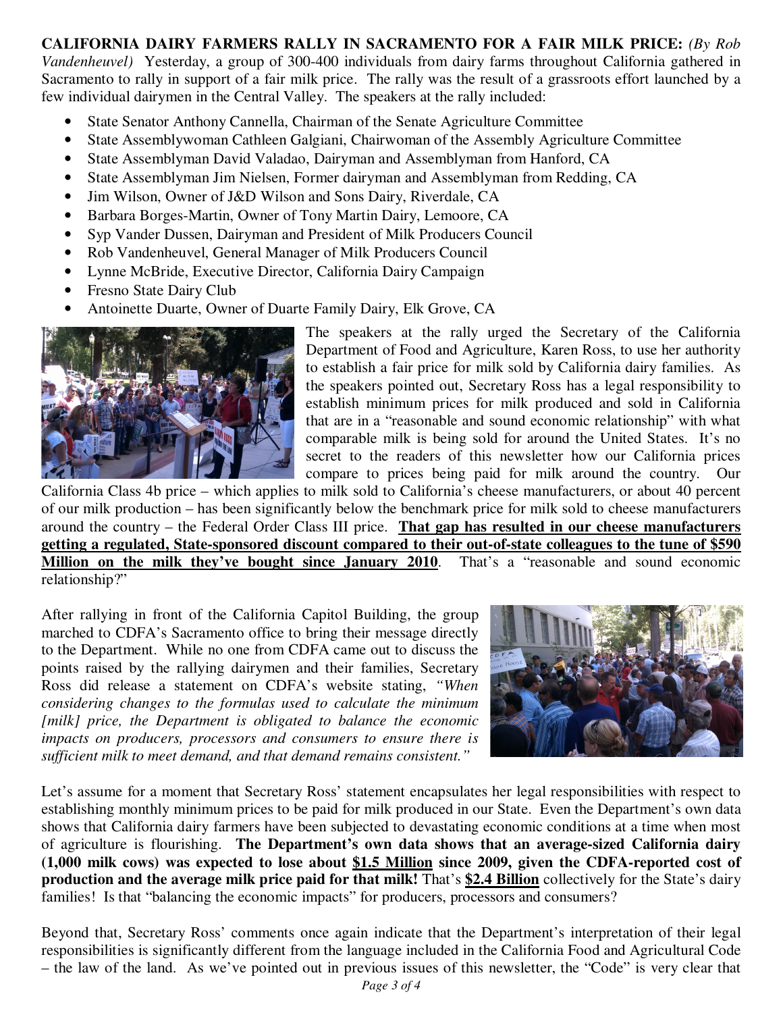**CALIFORNIA DAIRY FARMERS RALLY IN SACRAMENTO FOR A FAIR MILK PRICE:** *(By Rob Vandenheuvel)* Yesterday, a group of 300-400 individuals from dairy farms throughout California gathered in Sacramento to rally in support of a fair milk price. The rally was the result of a grassroots effort launched by a few individual dairymen in the Central Valley. The speakers at the rally included:

- State Senator Anthony Cannella, Chairman of the Senate Agriculture Committee
- State Assemblywoman Cathleen Galgiani, Chairwoman of the Assembly Agriculture Committee
- State Assemblyman David Valadao, Dairyman and Assemblyman from Hanford, CA
- State Assemblyman Jim Nielsen, Former dairyman and Assemblyman from Redding, CA
- Jim Wilson, Owner of J&D Wilson and Sons Dairy, Riverdale, CA
- Barbara Borges-Martin, Owner of Tony Martin Dairy, Lemoore, CA
- Syp Vander Dussen, Dairyman and President of Milk Producers Council
- Rob Vandenheuvel, General Manager of Milk Producers Council
- Lynne McBride, Executive Director, California Dairy Campaign
- Fresno State Dairy Club
- Antoinette Duarte, Owner of Duarte Family Dairy, Elk Grove, CA



The speakers at the rally urged the Secretary of the California Department of Food and Agriculture, Karen Ross, to use her authority to establish a fair price for milk sold by California dairy families. As the speakers pointed out, Secretary Ross has a legal responsibility to establish minimum prices for milk produced and sold in California that are in a "reasonable and sound economic relationship" with what comparable milk is being sold for around the United States. It's no secret to the readers of this newsletter how our California prices compare to prices being paid for milk around the country. Our

California Class 4b price – which applies to milk sold to California's cheese manufacturers, or about 40 percent of our milk production – has been significantly below the benchmark price for milk sold to cheese manufacturers around the country – the Federal Order Class III price. **That gap has resulted in our cheese manufacturers getting a regulated, State-sponsored discount compared to their out-of-state colleagues to the tune of \$590 Million on the milk they've bought since January 2010**. That's a "reasonable and sound economic relationship?"

After rallying in front of the California Capitol Building, the group marched to CDFA's Sacramento office to bring their message directly to the Department. While no one from CDFA came out to discuss the points raised by the rallying dairymen and their families, Secretary Ross did release a statement on CDFA's website stating, *"When considering changes to the formulas used to calculate the minimum*  [milk] price, the Department is obligated to balance the economic *impacts on producers, processors and consumers to ensure there is sufficient milk to meet demand, and that demand remains consistent."*



Let's assume for a moment that Secretary Ross' statement encapsulates her legal responsibilities with respect to establishing monthly minimum prices to be paid for milk produced in our State. Even the Department's own data shows that California dairy farmers have been subjected to devastating economic conditions at a time when most of agriculture is flourishing. **The Department's own data shows that an average-sized California dairy (1,000 milk cows) was expected to lose about \$1.5 Million since 2009, given the CDFA-reported cost of production and the average milk price paid for that milk!** That's **\$2.4 Billion** collectively for the State's dairy families! Is that "balancing the economic impacts" for producers, processors and consumers?

Beyond that, Secretary Ross' comments once again indicate that the Department's interpretation of their legal responsibilities is significantly different from the language included in the California Food and Agricultural Code – the law of the land. As we've pointed out in previous issues of this newsletter, the "Code" is very clear that